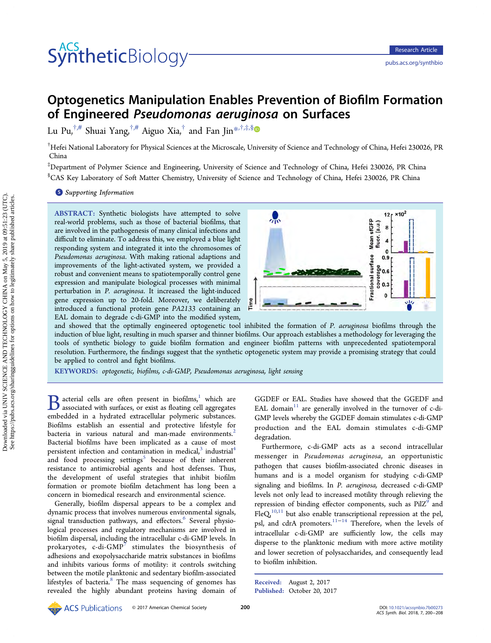# **Synthetic**Biology

# Optogenetics Manipulation Enables Prevention of Biofilm Formation of Engineered Pseudomonas aeruginosa on Surfaces

Lu Pu,  $\psi^{\dagger,\#}$  $\psi^{\dagger,\#}$  $\psi^{\dagger,\#}$  Shuai Yang,  $\psi^{\dagger,\#}$  Aiguo Xia,  $\psi^{\dagger}$  and Fan Jin[\\*](#page-7-0),  $\psi^{\dagger,\#}$ ,  $\psi^{\dagger,\#}$ 

 $^\dagger$ Hefei National Laboratory for Physical Sciences at the Microscale, University of Science and Technology of China, Hefei 230026, PR China

‡ Department of Polymer Science and Engineering, University of Science and Technology of China, Hefei 230026, PR China § CAS Key Laboratory of Soft Matter Chemistry, University of Science and Technology of China, Hefei 230026, PR China

#### **S** [Supporting Information](#page-7-0)

ABSTRACT: Synthetic biologists have attempted to solve real-world problems, such as those of bacterial biofilms, that are involved in the pathogenesis of many clinical infections and difficult to eliminate. To address this, we employed a blue light responding system and integrated it into the chromosomes of Pseudomonas aeruginosa. With making rational adaptions and improvements of the light-activated system, we provided a robust and convenient means to spatiotemporally control gene expression and manipulate biological processes with minimal perturbation in P. aeruginosa. It increased the light-induced gene expression up to 20-fold. Moreover, we deliberately introduced a functional protein gene PA2133 containing an EAL domain to degrade c-di-GMP into the modified system,



and showed that the optimally engineered optogenetic tool inhibited the formation of P. aeruginosa biofilms through the induction of blue light, resulting in much sparser and thinner biofilms. Our approach establishes a methodology for leveraging the tools of synthetic biology to guide biofilm formation and engineer biofilm patterns with unprecedented spatiotemporal resolution. Furthermore, the findings suggest that the synthetic optogenetic system may provide a promising strategy that could be applied to control and fight biofilms.

KEYWORDS: optogenetic, biofilms, c-di-GMP, Pseudomonas aeruginosa, light sensing

 $\bf{B}$  acterial cells are often present in biofilms, $\frac{1}{n}$  $\frac{1}{n}$  $\frac{1}{n}$  which are associated with surfaces, or exist as floating cell aggregates embedded in a hydrated extracellular polymeric substances. Biofilms establish an essential and protective lifestyle for bacteria in various natural and man-made environments.<sup>[2](#page-7-0)</sup> Bacterial biofilms have been implicated as a cause of most persistent infection and contamination in medical, $3$  industrial<sup>[4](#page-7-0)</sup> and food processing settings<sup>[5](#page-7-0)</sup> because of their inherent resistance to antimicrobial agents and host defenses. Thus, the development of useful strategies that inhibit biofilm formation or promote biofilm detachment has long been a concern in biomedical research and environmental science.

Generally, biofilm dispersal appears to be a complex and dynamic process that involves numerous environmental signals, signal transduction pathways, and effectors.<sup>[6](#page-7-0)</sup> Several physiological processes and regulatory mechanisms are involved in biofilm dispersal, including the intracellular c-di-GMP levels. In prokaryotes, c-di-GMP $^7$  $^7$  stimulates the biosynthesis of adhesions and exopolysaccharide matrix substances in biofilms and inhibits various forms of motility: it controls switching between the motile planktonic and sedentary biofilm-associated lifestyles of bacteria.<sup>[8](#page-7-0)</sup> The mass sequencing of genomes has revealed the highly abundant proteins having domain of

GGDEF or EAL. Studies have showed that the GGEDF and EAL domain $11$  are generally involved in the turnover of c-di-GMP levels whereby the GGDEF domain stimulates c-di-GMP production and the EAL domain stimulates c-di-GMP degradation.

Furthermore, c-di-GMP acts as a second intracellular messenger in Pseudomonas aeruginosa, an opportunistic pathogen that causes biofilm-associated chronic diseases in humans and is a model organism for studying c-di-GMP signaling and biofilms. In P. aeruginosa, decreased c-di-GMP levels not only lead to increased motility through relieving the repression of binding effector components, such as  $PilZ<sup>9</sup>$  $PilZ<sup>9</sup>$  $PilZ<sup>9</sup>$  and  $FleQ<sub>1</sub><sup>10,11</sup>$  $FleQ<sub>1</sub><sup>10,11</sup>$  $FleQ<sub>1</sub><sup>10,11</sup>$  but also enable transcriptional repression at the pel, psl, and cdrA promoters.[11](#page-7-0)−[14](#page-7-0) Therefore, when the levels of intracellular c-di-GMP are sufficiently low, the cells may disperse to the planktonic medium with more active motility and lower secretion of polysaccharides, and consequently lead to biofilm inhibition.

Received: August 2, 2017 Published: October 20, 2017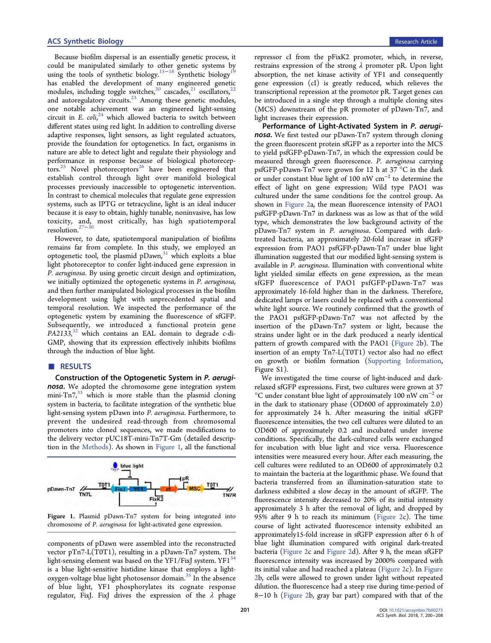Because biofilm dispersal is an essentially genetic process, it could be manipulated similarly to other genetic systems by using the tools of synthetic biology.<sup>[15](#page-7-0)−[18](#page-7-0)</sup> Synthetic biology<sup>[19](#page-8-0)</sup> has enabled the development of many engineered genetic modules, including toggle switches,<sup>[20](#page-8-0)</sup> cascades,<sup>[21](#page-8-0)</sup> oscillators,<sup>[22](#page-8-0)</sup> and autoregulatory circuits. $^{23}$  $^{23}$  $^{23}$  Among these genetic modules, one notable achievement was an engineered light-sensing circuit in E.  $\text{coll,}^{24}$  $\text{coll,}^{24}$  $\text{coll,}^{24}$  which allowed bacteria to switch between different states using red light. In addition to controlling diverse adaptive responses, light sensors, as light regulated actuators, provide the foundation for optogenetics. In fact, organisms in nature are able to detect light and regulate their physiology and performance in response because of biological photorecep-tors.<sup>[25](#page-8-0)</sup> Novel photoreceptors<sup>[26](#page-8-0)</sup> have been engineered that establish control through light over manifold biological processes previously inaccessible to optogenetic intervention. In contrast to chemical molecules that regulate gene expression systems, such as IPTG or tetracycline, light is an ideal inducer because it is easy to obtain, highly tunable, noninvasive, has low toxicity, and, most critically, has high spatiotemporal resolution.<sup>[27](#page-8-0)</sup>

However, to date, spatiotemporal manipulation of biofilms remains far from complete. In this study, we employed an optogenetic tool, the plasmid  $pDawn<sub>1</sub><sup>31</sup>$  $pDawn<sub>1</sub><sup>31</sup>$  $pDawn<sub>1</sub><sup>31</sup>$  which exploits a blue light photoreceptor to confer light-induced gene expression in P. aeruginosa. By using genetic circuit design and optimization, we initially optimized the optogenetic systems in P. aeruginosa, and then further manipulated biological processes in the biofilm development using light with unprecedented spatial and temporal resolution. We inspected the performance of the optogenetic system by examining the fluorescence of sfGFP. Subsequently, we introduced a functional protein gene PA2133,<sup>[32](#page-8-0)</sup> which contains an EAL domain to degrade c-di-GMP, showing that its expression effectively inhibits biofilms through the induction of blue light.

# ■ RESULTS

Construction of the Optogenetic System in P. aeruginosa. We adopted the chromosome gene integration system mini- $Tn7<sub>1</sub><sup>33</sup>$  which is more stable than the plasmid cloning system in bacteria, to facilitate integration of the synthetic blue light-sensing system pDawn into P. aeruginosa. Furthermore, to prevent the undesired read-through from chromosomal promoters into cloned sequences, we made modifications to the delivery vector pUC18T-mini-Tn7T-Gm (detailed description in the [Methods](#page-5-0)). As shown in Figure 1, all the functional



Figure 1. Plasmid pDawn-Tn7 system for being integrated into chromosome of P. aeruginosa for light-activated gene expression.

components of pDawn were assembled into the reconstructed vector pTn7-L(T0T1), resulting in a pDawn-Tn7 system. The light-sensing element was based on the YF1/FixJ system. YF1 $^{34}$  $^{34}$  $^{34}$ is a blue light-sensitive histidine kinase that employs a light-oxygen-voltage blue light photosensor domain.<sup>[35](#page-8-0)</sup> In the absence of blue light, YF1 phosphorylates its cognate response regulator, FixJ. FixJ drives the expression of the  $\lambda$  phage

repressor cI from the pFixK2 promoter, which, in reverse, restrains expression of the strong  $\lambda$  promoter pR. Upon light absorption, the net kinase activity of YF1 and consequently gene expression (cI) is greatly reduced, which relieves the transcriptional repression at the promotor pR. Target genes can be introduced in a single step through a multiple cloning sites (MCS) downstream of the pR promoter of pDawn-Tn7, and light increases their expression.

Performance of Light-Activated System in P. aeruginosa. We first tested our pDawn-Tn7 system through cloning the green fluorescent protein sfGFP as a reporter into the MCS to yield psfGFP-pDawn-Tn7, in which the expression could be measured through green fluorescence. P. aeruginosa carrying psfGFP-pDawn-Tn7 were grown for 12 h at 37 °C in the dark or under constant blue light of 100 nW cm<sup>−</sup><sup>2</sup> to determine the effect of light on gene expression; Wild type PAO1 was cultured under the same conditions for the control group. As shown in [Figure 2](#page-2-0)a, the mean fluorescence intensity of PAO1 psfGFP-pDawn-Tn7 in darkness was as low as that of the wild type, which demonstrates the low background activity of the pDawn-Tn7 system in P. aeruginosa. Compared with darktreated bacteria, an approximately 20-fold increase in sfGFP expression from PAO1 psfGFP-pDawn-Tn7 under blue light illumination suggested that our modified light-sensing system is available in P. aeruginosa. Illumination with conventional white light yielded similar effects on gene expression, as the mean sfGFP fluorescence of PAO1 psfGFP-pDawn-Tn7 was approximately 16-fold higher than in the darkness. Therefore, dedicated lamps or lasers could be replaced with a conventional white light source. We routinely confirmed that the growth of the PAO1 psfGFP-pDawn-Tn7 was not affected by the insertion of the pDawn-Tn7 system or light, because the strains under light or in the dark produced a nearly identical pattern of growth compared with the PAO1 ([Figure 2b](#page-2-0)). The insertion of an empty Tn7-L(T0T1) vector also had no effect on growth or biofilm formation ([Supporting Information,](http://pubs.acs.org/doi/suppl/10.1021/acssynbio.7b00273/suppl_file/sb7b00273_si_001.pdf) Figure S1).

We investigated the time course of light-induced and darkrelaxed sfGFP expressions. First, two cultures were grown at 37 °C under constant blue light of approximately 100 nW cm<sup>−</sup><sup>2</sup> or in the dark to stationary phase (OD600 of approximately 2.0) for approximately 24 h. After measuring the initial sfGFP fluorescence intensities, the two cell cultures were diluted to an OD600 of approximately 0.2 and incubated under inverse conditions. Specifically, the dark-cultured cells were exchanged for incubation with blue light and vice versa. Fluorescence intensities were measured every hour. After each measuring, the cell cultures were rediluted to an OD600 of approximately 0.2 to maintain the bacteria at the logarithmic phase. We found that bacteria transferred from an illumination-saturation state to darkness exhibited a slow decay in the amount of sfGFP. The fluorescence intensity decreased to 20% of its initial intensity approximately 3 h after the removal of light, and dropped by 95% after 9 h to reach its minimum [\(Figure 2](#page-2-0)c). The time course of light activated fluorescence intensity exhibited an approximately15-fold increase in sfGFP expression after 6 h of blue light illumination compared with original dark-treated bacteria ([Figure 2c](#page-2-0) and [Figure 2](#page-2-0)d). After 9 h, the mean sfGFP fluorescence intensity was increased by 2000% compared with its initial value and had reached a plateau ([Figure 2](#page-2-0)c). In [Figure](#page-2-0) [2](#page-2-0)b, cells were allowed to grown under light without repeated dilution. the fluorescence had a steep rise during time-period of 8−10 h [\(Figure 2b](#page-2-0), gray bar part) compared with that of the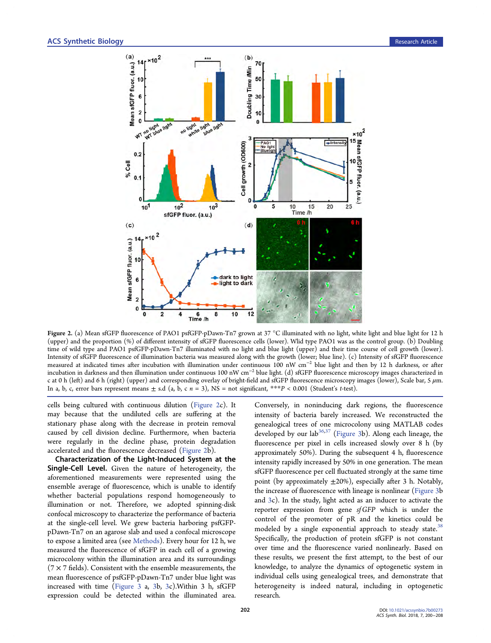<span id="page-2-0"></span>

Figure 2. (a) Mean sfGFP fluorescence of PAO1 psfGFP-pDawn-Tn7 grown at 37 °C illuminated with no light, white light and blue light for 12 h (upper) and the proportion (%) of different intensity of sfGFP fluorescence cells (lower). Wlid type PAO1 was as the control group. (b) Doubling time of wild type and PAO1 psfGFP-pDawn-Tn7 illuminated with no light and blue light (upper) and their time course of cell growth (lower). Intensity of sfGFP fluorescence of illumination bacteria was measured along with the growth (lower; blue line). (c) Intensity of sfGFP fluorescence measured at indicated times after incubation with illumination under continuous 100 nW cm<sup>−</sup><sup>2</sup> blue light and then by 12 h darkness, or after incubation in darkness and then illumination under continuous 100 nW cm<sup>−</sup><sup>2</sup> blue light. (d) sfGFP fluorescence microscopy images characterized in c at 0 h (left) and 6 h (right) (upper) and corresponding overlay of bright-field and sfGFP fluorescence microscopy images (lower), Scale bar, 5  $\mu$ m. In a, b, c, error bars represent means  $\pm$  s.d (a, b, c  $n = 3$ ), NS = not significant, \*\*\*P < 0.001 (Student's t-test).

cells being cultured with continuous dilution (Figure 2c). It may because that the undiluted cells are suffering at the stationary phase along with the decrease in protein removal caused by cell division decline. Furthermore, when bacteria were regularly in the decline phase, protein degradation accelerated and the fluorescence decreased (Figure 2b).

Characterization of the Light-Induced System at the Single-Cell Level. Given the nature of heterogeneity, the aforementioned measurements were represented using the ensemble average of fluorescence, which is unable to identify whether bacterial populations respond homogeneously to illumination or not. Therefore, we adopted spinning-disk confocal microscopy to characterize the performance of bacteria at the single-cell level. We grew bacteria harboring psfGFPpDawn-Tn7 on an agarose slab and used a confocal microscope to expose a limited area (see [Methods](#page-5-0)). Every hour for 12 h, we measured the fluorescence of sfGFP in each cell of a growing microcolony within the illumination area and its surroundings  $(7 \times 7 \text{ fields})$ . Consistent with the ensemble measurements, the mean fluorescence of psfGFP-pDawn-Tn7 under blue light was increased with time [\(Figure 3](#page-3-0) a, [3b](#page-3-0), [3c](#page-3-0)).Within 3 h, sfGFP expression could be detected within the illuminated area.

Conversely, in noninducing dark regions, the fluorescence intensity of bacteria barely increased. We reconstructed the genealogical trees of one microcolony using MATLAB codes developed by our lab<sup>[36,37](#page-8-0)</sup> ([Figure 3b](#page-3-0)). Along each lineage, the fluorescence per pixel in cells increased slowly over 8 h (by approximately 50%). During the subsequent 4 h, fluorescence intensity rapidly increased by 50% in one generation. The mean sfGFP fluorescence per cell fluctuated strongly at the same time point (by approximately  $\pm 20\%$ ), especially after 3 h. Notably, the increase of fluorescence with lineage is nonlinear [\(Figure 3b](#page-3-0) and [3](#page-3-0)c). In the study, light acted as an inducer to activate the reporter expression from gene sf GFP which is under the control of the promoter of pR and the kinetics could be modeled by a single exponential approach to steady state.<sup>[38](#page-8-0)</sup> Specifically, the production of protein sfGFP is not constant over time and the fluorescence varied nonlinearly. Based on these results, we present the first attempt, to the best of our knowledge, to analyze the dynamics of optogenetic system in individual cells using genealogical trees, and demonstrate that heterogeneity is indeed natural, including in optogenetic research.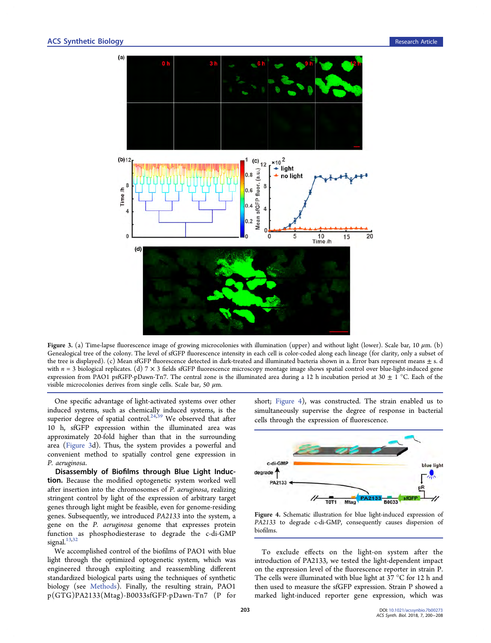<span id="page-3-0"></span>

Figure 3. (a) Time-lapse fluorescence image of growing microcolonies with illumination (upper) and without light (lower). Scale bar, 10  $\mu$ m. (b) Genealogical tree of the colony. The level of sfGFP fluorescence intensity in each cell is color-coded along each lineage (for clarity, only a subset of the tree is displayed). (c) Mean sfGFP fluorescence detected in dark-treated and illuminated bacteria shown in a. Error bars represent means  $\pm$  s. d with  $n = 3$  biological replicates. (d)  $7 \times 3$  fields sfGFP fluorescence microscopy montage image shows spatial control over blue-light-induced gene expression from PAO1 psfGFP-pDawn-Tn7. The central zone is the illuminated area during a 12 h incubation period at 30  $\pm$  1 °C. Each of the visible microcolonies derives from single cells. Scale bar, 50  $\mu$ m.

One specific advantage of light-activated systems over other induced systems, such as chemically induced systems, is the superior degree of spatial control.<sup>[24,39](#page-8-0)</sup> We observed that after 10 h, sfGFP expression within the illuminated area was approximately 20-fold higher than that in the surrounding area (Figure 3d). Thus, the system provides a powerful and convenient method to spatially control gene expression in P. aeruginosa.

Disassembly of Biofilms through Blue Light Induction. Because the modified optogenetic system worked well after insertion into the chromosomes of P. aeruginosa, realizing stringent control by light of the expression of arbitrary target genes through light might be feasible, even for genome-residing genes. Subsequently, we introduced PA2133 into the system, a gene on the P. aeruginosa genome that expresses protein function as phosphodiesterase to degrade the c-di-GMP signal.<sup>[13](#page-7-0)[,32](#page-8-0)</sup>

We accomplished control of the biofilms of PAO1 with blue light through the optimized optogenetic system, which was engineered through exploiting and reassembling different standardized biological parts using the techniques of synthetic biology (see [Methods\)](#page-5-0). Finally, the resulting strain, PAO1 p(GTG)PA2133(Mtag)-B0033sfGFP-pDawn-Tn7 (P for short; Figure 4), was constructed. The strain enabled us to simultaneously supervise the degree of response in bacterial cells through the expression of fluorescence.



Figure 4. Schematic illustration for blue light-induced expression of PA2133 to degrade c-di-GMP, consequently causes dispersion of biofilms.

To exclude effects on the light-on system after the introduction of PA2133, we tested the light-dependent impact on the expression level of the fluorescence reporter in strain P. The cells were illuminated with blue light at 37 °C for 12 h and then used to measure the sfGFP expression. Strain P showed a marked light-induced reporter gene expression, which was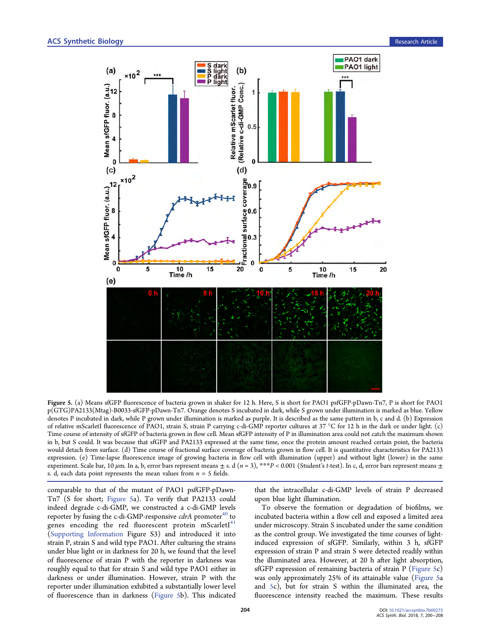<span id="page-4-0"></span>

Figure 5. (a) Means sfGFP fluorescence of bacteria grown in shaker for 12 h. Here, S is short for PAO1 psfGFP-pDawn-Tn7, P is short for PAO1 p(GTG)PA2133(Mtag)-B0033-sfGFP-pDawn-Tn7. Orange denotes S incubated in dark, while S grown under illumination is marked as blue. Yellow denotes P incubated in dark, while P grown under illumination is marked as purple. It is described as the same pattern in b, c and d. (b) Expression of relative mScarletI fluorescence of PAO1, strain S, strain P carrying c-di-GMP reporter cultures at 37 °C for 12 h in the dark or under light. (c) Time course of intensity of sfGFP of bacteria grown in flow cell. Mean sfGFP intensity of P in illumination area could not catch the maximum shown in b, but S could. It was because that sfGFP and PA2133 expressed at the same time, once the protein amount reached certain point, the bacteria would detach from surface. (d) Time course of fractional surface coverage of bacteria grown in flow cell. It is quantitative characteristics for PA2133 expression. (e) Time-lapse fluorescence image of growing bacteria in flow cell with illumination (upper) and without light (lower) in the same experiment. Scale bar, 10  $\mu$ m. In a, b, error bars represent means  $\pm$  s. d (n = 3), \*\*\*P < 0.001 (Student's t-test). In c, d, error bars represent means  $\pm$ s. d, each data point represents the mean values from  $n = 5$  fields.

comparable to that of the mutant of PAO1 psfGFP-pDawn-Tn7 (S for short; Figure 5a). To verify that PA2133 could indeed degrade c-di-GMP, we constructed a c-di-GMP levels reporter by fusing the c-di-GMP-responsive  $cdrA$  promoter<sup>[40](#page-8-0)</sup> to genes encoding the red fluorescent protein  $ms\text{carlet}I^{41}$  $ms\text{carlet}I^{41}$  $ms\text{carlet}I^{41}$ [\(Supporting Information](http://pubs.acs.org/doi/suppl/10.1021/acssynbio.7b00273/suppl_file/sb7b00273_si_001.pdf) Figure S3) and introduced it into strain P, strain S and wild type PAO1. After culturing the strains under blue light or in darkness for 20 h, we found that the level of fluorescence of strain P with the reporter in darkness was roughly equal to that for strain S and wild type PAO1 either in darkness or under illumination. However, strain P with the reporter under illumination exhibited a substantially lower level of fluorescence than in darkness (Figure 5b). This indicated

that the intracellular c-di-GMP levels of strain P decreased upon blue light illumination.

To observe the formation or degradation of biofilms, we incubated bacteria within a flow cell and exposed a limited area under microscopy. Strain S incubated under the same condition as the control group. We investigated the time courses of lightinduced expression of sfGFP. Similarly, within 3 h, sfGFP expression of strain P and strain S were detected readily within the illuminated area. However, at 20 h after light absorption, sfGFP expression of remaining bacteria of strain P (Figure 5c) was only approximately 25% of its attainable value (Figure 5a and 5c), but for strain S within the illuminated area, the fluorescence intensity reached the maximum. These results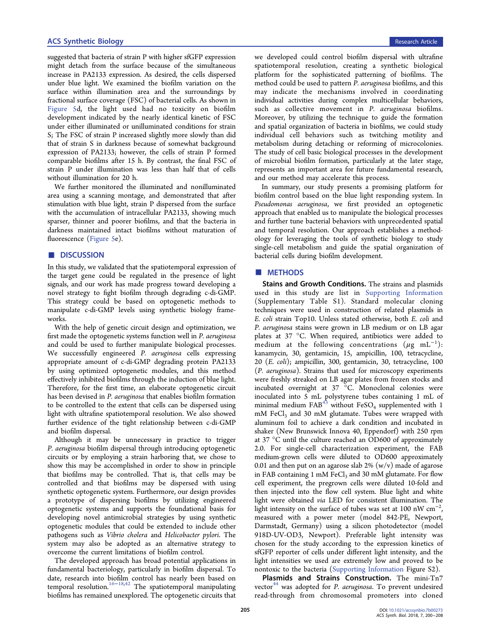<span id="page-5-0"></span>suggested that bacteria of strain P with higher sfGFP expression might detach from the surface because of the simultaneous increase in PA2133 expression. As desired, the cells dispersed under blue light. We examined the biofilm variation on the surface within illumination area and the surroundings by fractional surface coverage (FSC) of bacterial cells. As shown in [Figure 5d](#page-4-0), the light used had no toxicity on biofilm development indicated by the nearly identical kinetic of FSC under either illuminated or unilluminated conditions for strain S; The FSC of strain P increased slightly more slowly than did that of strain S in darkness because of somewhat background expression of PA2133; however, the cells of strain P formed comparable biofilms after 15 h. By contrast, the final FSC of strain P under illumination was less than half that of cells without illumination for 20 h.

We further monitored the illuminated and nonilluminated area using a scanning montage, and demonstrated that after stimulation with blue light, strain P dispersed from the surface with the accumulation of intracellular PA2133, showing much sparser, thinner and poorer biofilms, and that the bacteria in darkness maintained intact biofilms without maturation of fluorescence [\(Figure 5](#page-4-0)e).

# ■ DISCUSSION

In this study, we validated that the spatiotemporal expression of the target gene could be regulated in the presence of light signals, and our work has made progress toward developing a novel strategy to fight biofilm through degrading c-di-GMP. This strategy could be based on optogenetic methods to manipulate c-di-GMP levels using synthetic biology frameworks.

With the help of genetic circuit design and optimization, we first made the optogenetic systems function well in P. aeruginosa and could be used to further manipulate biological processes. We successfully engineered P. aeruginosa cells expressing appropriate amount of c-di-GMP degrading protein PA2133 by using optimized optogenetic modules, and this method effectively inhibited biofilms through the induction of blue light. Therefore, for the first time, an elaborate optogenetic circuit has been devised in P. aeruginosa that enables biofilm formation to be controlled to the extent that cells can be dispersed using light with ultrafine spatiotemporal resolution. We also showed further evidence of the tight relationship between c-di-GMP and biofilm dispersal.

Although it may be unnecessary in practice to trigger P. aeruginosa biofilm dispersal through introducing optogenetic circuits or by employing a strain harboring that, we chose to show this may be accomplished in order to show in principle that biofilms may be controlled. That is, that cells may be controlled and that biofilms may be dispersed with using synthetic optogenetic system. Furthermore, our design provides a prototype of dispersing biofilms by utilizing engineered optogenetic systems and supports the foundational basis for developing novel antimicrobial strategies by using synthetic optogenetic modules that could be extended to include other pathogens such as Vibrio cholera and Helicobacter pylori. The system may also be adopted as an alternative strategy to overcome the current limitations of biofilm control.

The developed approach has broad potential applications in fundamental bacteriology, particularly in biofilm dispersal. To date, research into biofilm control has nearly been based on temporal resolution.<sup>[16](#page-7-0)−[18](#page-7-0)[,42](#page-8-0)</sup> The spatiotemporal manipulating biofilms has remained unexplored. The optogenetic circuits that we developed could control biofilm dispersal with ultrafine spatiotemporal resolution, creating a synthetic biological platform for the sophisticated patterning of biofilms. The method could be used to pattern P. aeruginosa biofilms, and this may indicate the mechanisms involved in coordinating individual activities during complex multicellular behaviors, such as collective movement in P. aeruginosa biofilms. Moreover, by utilizing the technique to guide the formation and spatial organization of bacteria in biofilms, we could study individual cell behaviors such as twitching motility and metabolism during detaching or reforming of microcolonies. The study of cell basic biological processes in the development of microbial biofilm formation, particularly at the later stage, represents an important area for future fundamental research, and our method may accelerate this process.

In summary, our study presents a promising platform for biofilm control based on the blue light responding system. In Pseudomonas aeruginosa, we first provided an optogenetic approach that enabled us to manipulate the biological processes and further tune bacterial behaviors with unprecedented spatial and temporal resolution. Our approach establishes a methodology for leveraging the tools of synthetic biology to study single-cell metabolism and guide the spatial organization of bacterial cells during biofilm development.

# ■ METHODS

Stains and Growth Conditions. The strains and plasmids used in this study are list in [Supporting Information](http://pubs.acs.org/doi/suppl/10.1021/acssynbio.7b00273/suppl_file/sb7b00273_si_001.pdf) (Supplementary Table S1). Standard molecular cloning techniques were used in construction of related plasmids in E. coli strain Top10. Unless stated otherwise, both E. coli and P. aeruginosa stains were grown in LB medium or on LB agar plates at 37 °C. When required, antibiotics were added to medium at the following concentrations  $(\mu \text{g} \text{ mL}^{-1})$ : kanamycin, 30, gentamicin, 15, ampicillin, 100, tetracycline, 20 (E. coli); ampicillin, 300, gentamicin, 30, tetracycline, 100 (P. aeruginosa). Strains that used for microscopy experiments were freshly streaked on LB agar plates from frozen stocks and incubated overnight at 37 °C. Monoclonal colonies were inoculated into 5 mL polystyrene tubes containing 1 mL of minimal medium  $FAB^{43}$  $FAB^{43}$  $FAB^{43}$  without  $FeSO<sub>4</sub>$  supplemented with 1 mM FeCl<sub>3</sub> and 30 mM glutamate. Tubes were wrapped with aluminum foil to achieve a dark condition and incubated in shaker (New Brunswick Innova 40, Eppendorf) with 250 rpm at 37 °C until the culture reached an OD600 of approximately 2.0. For single-cell characterization experiment, the FAB medium-grown cells were diluted to OD600 approximately 0.01 and then put on an agarose slab  $2\%$  (w/v) made of agarose in FAB containing 1 mM  $FeCl<sub>3</sub>$  and 30 mM glutamate. For flow cell experiment, the pregrown cells were diluted 10-fold and then injected into the flow cell system. Blue light and white light were obtained via LED for consistent illumination. The light intensity on the surface of tubes was set at 100 nW  $cm^{-2}$ , , measured with a power meter (model 842-PE, Newport, Darmstadt, Germany) using a silicon photodetector (model 918D-UV-OD3, Newport). Preferable light intensity was chosen for the study according to the expression kinetics of sfGFP reporter of cells under different light intensity, and the light intensities we used are extremely low and proved to be nontoxic to the bacteria ([Supporting Information](http://pubs.acs.org/doi/suppl/10.1021/acssynbio.7b00273/suppl_file/sb7b00273_si_001.pdf) Figure S2).

Plasmids and Strains Construction. The mini-Tn7 vector<sup>[44](#page-8-0)</sup> was adopted for *P. aeruginosa*. To prevent undesired read-through from chromosomal promoters into cloned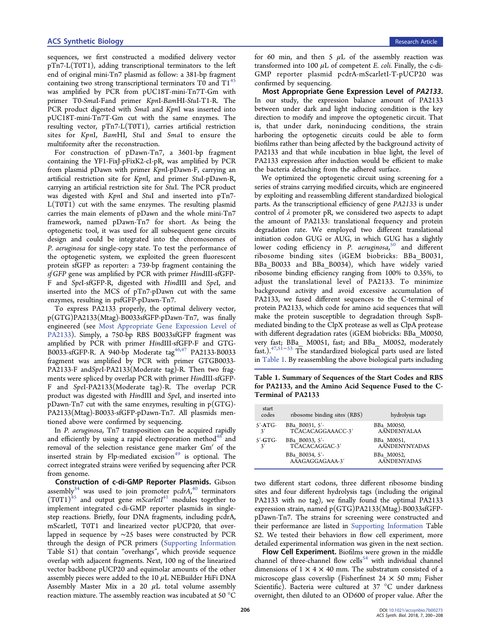sequences, we first constructed a modified delivery vector pTn7-L(T0T1), adding transcriptional terminators to the left end of original mini-Tn7 plasmid as follow: a 381-bp fragment containing two strong transcriptional terminators  $T_0$  and  $T_1^{45}$  $T_1^{45}$  $T_1^{45}$ was amplified by PCR from pUC18T-mini-Tn7T-Gm with primer T0-SmaI-Fand primer KpnI-BamHI-StuI-T1-R. The PCR product digested with *SmaI* and *KpnI* was inserted into pUC18T-mini-Tn7T-Gm cut with the same enzymes. The resulting vector, pTn7-L(T0T1), carries artificial restriction sites for KpnI, BamHI, StuI and SmaI to ensure the multiformity after the reconstruction.

For construction of pDawn-Tn7, a 3601-bp fragment containing the YF1-FixJ-pFixK2-cI-pR, was amplified by PCR from plasmid pDawn with primer KpnI-pDawn-F, carrying an artificial restriction site for KpnI, and primer StuI-pDawn-R, carrying an artificial restriction site for StuI. The PCR product was digested with KpnI and StuI and inserted into pTn7- L(T0T1) cut with the same enzymes. The resulting plasmid carries the main elements of pDawn and the whole mini-Tn7 framework, named pDawn-Tn7 for short. As being the optogenetic tool, it was used for all subsequent gene circuits design and could be integrated into the chromosomes of P. aeruginosa for single-copy state. To test the performance of the optogenetic system, we exploited the green fluorescent protein sfGFP as reporter: a 739-bp fragment containing the sf GFP gene was amplified by PCR with primer HindIII-sfGFP-F and SpeI-sfGFP-R, digested with HindIII and SpeI, and inserted into the MCS of pTn7-pDawn cut with the same enzymes, resulting in psfGFP-pDawn-Tn7.

To express PA2133 properly, the optimal delivery vector, p(GTG)PA2133(Mtag)-B0033sfGFP-pDawn-Tn7, was finally engineered (see Most Appropriate Gene Expression Level of PA2133). Simply, a 750-bp RBS B0033sfGFP fragment was amplified by PCR with primer HindIII-sfGFP-F and GTG-B0033-sfGFP-R. A 940-bp Moderate tag<sup>[46,47](#page-8-0)</sup> PA2133-B0033 fragment was amplified by PCR with primer GTGB0033- PA2133-F andSpeI-PA2133(Moderate tag)-R. Then two fragments were spliced by overlap PCR with primer HindIII-sfGFP-F and SpeI-PA2133(Moderate tag)-R. The overlap PCR product was digested with HindIII and SpeI, and inserted into pDawn-Tn7 cut with the same enzymes, resulting in  $p(GTG)$ -PA2133(Mtag)-B0033-sfGFP-pDawn-Tn7. All plasmids mentioned above were confirmed by sequencing.

In P. aeruginosa, Tn7 transposition can be acquired rapidly and efficiently by using a rapid electroporation method $48$  and removal of the selection resistance gene marker Gm' of the inserted strain by Flp-mediated excision<sup>[49](#page-8-0)</sup> is optional. The correct integrated strains were verified by sequencing after PCR from genome.

Construction of c-di-GMP Reporter Plasmids. Gibson assembly<sup>[34](#page-8-0)</sup> was used to join promoter pcdrA,<sup>[40](#page-8-0)</sup> terminators  $(T0T1)^{45}$  $(T0T1)^{45}$  $(T0T1)^{45}$  and output gene *mScarletI*<sup>[41](#page-8-0)</sup> modules together to implement integrated c-di-GMP reporter plasmids in singlestep reactions. Briefly, four DNA fragments, including pcdrA, mScarletI, T0T1 and linearized vector pUCP20, that overlapped in sequence by ∼25 bases were constructed by PCR through the design of PCR primers ([Supporting Information](http://pubs.acs.org/doi/suppl/10.1021/acssynbio.7b00273/suppl_file/sb7b00273_si_001.pdf) Table S1) that contain "overhangs", which provide sequence overlap with adjacent fragments. Next, 100 ng of the linearized vector backbone pUCP20 and equimolar amounts of the other assembly pieces were added to the 10  $\mu$ L NEBuilder HiFi DNA Assembly Master Mix in a 20  $\mu$ L total volume assembly reaction mixture. The assembly reaction was incubated at 50 °C

for 60 min, and then 5  $\mu$ L of the assembly reaction was transformed into 100  $\mu$ L of competent *E. coli.* Finally, the c-di-GMP reporter plasmid pcdrA-mScarletI-T-pUCP20 was confirmed by sequencing.

Most Appropriate Gene Expression Level of PA2133. In our study, the expression balance amount of PA2133 between under dark and light inducing condition is the key direction to modify and improve the optogenetic circuit. That is, that under dark, noninducing conditions, the strain harboring the optogenetic circuits could be able to form biofilms rather than being affected by the background activity of PA2133 and that while incubation in blue light, the level of PA2133 expression after induction would be efficient to make the bacteria detaching from the adhered surface.

We optimized the optogenetic circuit using screening for a series of strains carrying modified circuits, which are engineered by exploiting and reassembling different standardized biological parts. As the transcriptional efficiency of gene PA2133 is under control of  $\lambda$  promoter pR, we considered two aspects to adapt the amount of PA2133: translational frequency and protein degradation rate. We employed two different translational initiation codon GUG or AUG, in which GUG has a slightly lower coding efficiency in P. aeruginosa,<sup>[50](#page-8-0)</sup> and different ribosome binding sites (iGEM biobricks: BBa\_B0031, BBa B0033 and BBa B0034), which have widely varied ribosome binding efficiency ranging from 100% to 0.35%, to adjust the translational level of PA2133. To minimize background activity and avoid excessive accumulation of PA2133, we fused different sequences to the C-terminal of protein PA2133, which code for amino acid sequences that will make the protein susceptible to degradation through SspBmediated binding to the ClpX protease as well as ClpA protease with different degradation rates (iGEM biobricks: BBa\_M0050, very fast; BBa\_ M0051, fast; and BBa\_ M0052, moderately fast.).[47](#page-8-0),[51](#page-8-0)−[53](#page-8-0) The standardized biological parts used are listed in Table 1. By reassembling the above biological parts including

Table 1. Summary of Sequences of the Start Codes and RBS for PA2133, and the Amino Acid Sequence Fused to the C-Terminal of PA2133

| start<br>codes | ribosome binding sites (RBS)      | hydrolysis tags                  |
|----------------|-----------------------------------|----------------------------------|
| $5'$ -ATG-     | BBa B0031, 5'-                    | BBa M0050,                       |
| $\mathbf{3}'$  | TCACACAGGAAACC-3'                 | <b>AANDENYALAA</b>               |
| $5'$ -GTG-     | BBa B0033, 5'-                    | BBa M0051,                       |
| 3'             | TCACACAGGAC-3'                    | <b>AANDENYNYADAS</b>             |
|                | BBa B0034, 5'-<br>AAAGAGGAGAAA-3' | BBa M0052,<br><b>AANDENYADAS</b> |

two different start codons, three different ribosome binding sites and four different hydrolysis tags (including the original PA2133 with no tag), we finally found the optimal PA2133 expression strain, named p(GTG)PA2133(Mtag)-B0033sfGFPpDawn-Tn7. The strains for screening were constructed and their performance are listed in [Supporting Information](http://pubs.acs.org/doi/suppl/10.1021/acssynbio.7b00273/suppl_file/sb7b00273_si_001.pdf) Table S2. We tested their behaviors in flow cell experiment, more detailed experimental information was given in the next section.

Flow Cell Experiment. Biofilms were grown in the middle channel of three-channel flow cells<sup>[54](#page-8-0)</sup> with individual channel dimensions of  $1 \times 4 \times 40$  mm. The substratum consisted of a microscope glass coverslip (Fisherfinest  $24 \times 50$  mm; Fisher Scientific). Bacteria were cultured at 37 °C under darkness overnight, then diluted to an OD600 of proper value. After the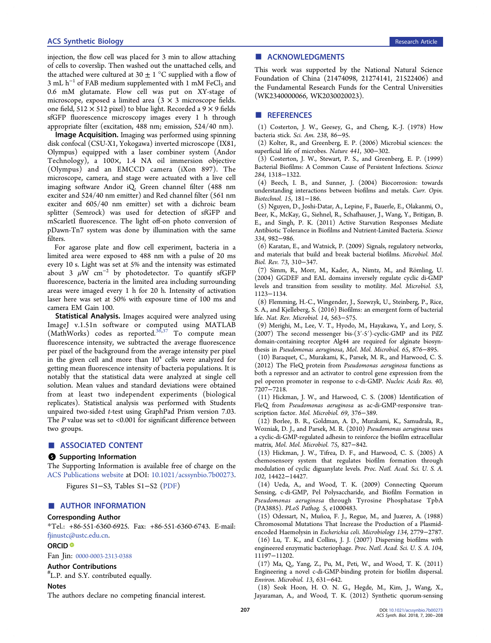<span id="page-7-0"></span>injection, the flow cell was placed for 3 min to allow attaching of cells to coverslip. Then washed out the unattached cells, and the attached were cultured at 30  $\pm$  1 °C supplied with a flow of  $3 \text{ mL h}^{-1}$  of FAB medium supplemented with 1 mM FeCl<sub>3</sub> and 0.6 mM glutamate. Flow cell was put on XY-stage of microscope, exposed a limited area  $(3 \times 3$  microscope fields. one field,  $512 \times 512$  pixel) to blue light. Recorded a 9  $\times$  9 fields sfGFP fluorescence microscopy images every 1 h through appropriate filter (excitation, 488 nm; emission, 524/40 nm).

Image Acquisition. Imaging was performed using spinning disk confocal (CSU-X1, Yokogawa) inverted microscope (IX81, Olympus) equipped with a laser combiner system (Andor Technology), a 100×, 1.4 NA oil immersion objective (Olympus) and an EMCCD camera (iXon 897). The microscope, camera, and stage were actuated with a live cell imaging software Andor iQ. Green channel filter (488 nm exciter and 524/40 nm emitter) and Red channel filter (561 nm exciter and 605/40 nm emitter) set with a dichroic beam splitter (Semrock) was used for detection of sfGFP and mScarletI fluorescence. The light off-on photo conversion of pDawn-Tn7 system was done by illumination with the same filters.

For agarose plate and flow cell experiment, bacteria in a limited area were exposed to 488 nm with a pulse of 20 ms every 10 s. Light was set at 5% and the intensity was estimated about 3  $\mu$ W cm<sup>-2</sup> by photodetector. To quantify sfGFP fluorescence, bacteria in the limited area including surrounding areas were imaged every 1 h for 20 h. Intensity of activation laser here was set at 50% with exposure time of 100 ms and camera EM Gain 100.

Statistical Analysis. Images acquired were analyzed using ImageJ v.1.51n software or computed using MATLAB (MathWorks) codes as reported. $36,37$  To compute mean fluorescence intensity, we subtracted the average fluorescence per pixel of the background from the average intensity per pixel in the given cell and more than  $10<sup>4</sup>$  cells were analyzed for getting mean fluorescence intensity of bacteria populations. It is notably that the statistical data were analyzed at single cell solution. Mean values and standard deviations were obtained from at least two independent experiments (biological replicates). Statistical analysis was performed with Students unpaired two-sided t-test using GraphPad Prism version 7.03. The  $P$  value was set to <0.001 for significant difference between two groups.

## ■ ASSOCIATED CONTENT

#### **6** Supporting Information

The Supporting Information is available free of charge on the [ACS Publications website](http://pubs.acs.org) at DOI: [10.1021/acssynbio.7b00273](http://pubs.acs.org/doi/abs/10.1021/acssynbio.7b00273).

Figures S1−S3, Tables S1−S2 ([PDF\)](http://pubs.acs.org/doi/suppl/10.1021/acssynbio.7b00273/suppl_file/sb7b00273_si_001.pdf)

# ■ AUTHOR INFORMATION

#### Corresponding Author

\*Tel.: +86-551-6360-6925. Fax: +86-551-6360-6743. E-mail: [fjinustc@ustc.edu.cn.](mailto:fjinustc@ustc.edu.cn)

### ORCID<sup>®</sup>

Fan Jin: [0000-0003-2313-0388](http://orcid.org/0000-0003-2313-0388)

#### Author Contributions

# L.P. and S.Y. contributed equally.

#### Notes

The authors declare no competing financial interest.

### ■ ACKNOWLEDGMENTS

This work was supported by the National Natural Science Foundation of China (21474098, 21274141, 21522406) and the Fundamental Research Funds for the Central Universities (WK2340000066, WK2030020023).

#### ■ REFERENCES

(1) Costerton, J. W., Geesey, G., and Cheng, K.-J. (1978) How bacteria stick. Sci. Am. 238, 86−95.

(2) Kolter, R., and Greenberg, E. P. (2006) Microbial sciences: the superficial life of microbes. Nature 441, 300−302.

(3) Costerton, J. W., Stewart, P. S., and Greenberg, E. P. (1999) Bacterial Biofilms: A Common Cause of Persistent Infections. Science 284, 1318−1322.

(4) Beech, I. B., and Sunner, J. (2004) Biocorrosion: towards understanding interactions between biofilms and metals. Curr. Opin. Biotechnol. 15, 181−186.

(5) Nguyen, D., Joshi-Datar, A., Lepine, F., Bauerle, E., Olakanmi, O., Beer, K., McKay, G., Siehnel, R., Schafhauser, J., Wang, Y., Britigan, B. E., and Singh, P. K. (2011) Active Starvation Responses Mediate Antibiotic Tolerance in Biofilms and Nutrient-Limited Bacteria. Science 334, 982−986.

(6) Karatan, E., and Watnick, P. (2009) Signals, regulatory networks, and materials that build and break bacterial biofilms. Microbiol. Mol. Biol. Rev. 73, 310−347.

(7) Simm, R., Morr, M., Kader, A., Nimtz, M., and Römling, U. (2004) GGDEF and EAL domains inversely regulate cyclic di-GMP levels and transition from sessility to motility. Mol. Microbiol. 53, 1123−1134.

(8) Flemming, H.-C., Wingender, J., Szewzyk, U., Steinberg, P., Rice, S. A., and Kjelleberg, S. (2016) Biofilms: an emergent form of bacterial life. Nat. Rev. Microbiol. 14, 563−575.

(9) Merighi, M., Lee, V. T., Hyodo, M., Hayakawa, Y., and Lory, S. (2007) The second messenger bis-(3′-5′)-cyclic-GMP and its PilZ domain-containing receptor Alg44 are required for alginate biosynthesis in Pseudomonas aeruginosa, Mol. Mol. Microbiol. 65, 876−895.

(10) Baraquet, C., Murakami, K., Parsek, M. R., and Harwood, C. S. (2012) The FleQ protein from Pseudomonas aeruginosa functions as both a repressor and an activator to control gene expression from the pel operon promoter in response to c-di-GMP. Nucleic Acids Res. 40, 7207−7218.

(11) Hickman, J. W., and Harwood, C. S. (2008) Identification of FleQ from Pseudomonas aeruginosa as ac-di-GMP-responsive transcription factor. Mol. Microbiol. 69, 376−389.

(12) Borlee, B. R., Goldman, A. D., Murakami, K., Samudrala, R., Wozniak, D. J., and Parsek, M. R. (2010) Pseudomonas aeruginosa uses a cyclic-di-GMP-regulated adhesin to reinforce the biofilm extracellular matrix, Mol. Mol. Microbiol. 75, 827−842.

(13) Hickman, J. W., Tifrea, D. F., and Harwood, C. S. (2005) A chemosensory system that regulates biofilm formation through modulation of cyclic diguanylate levels. Proc. Natl. Acad. Sci. U. S. A. 102, 14422−14427.

(14) Ueda, A., and Wood, T. K. (2009) Connecting Quorum Sensing, c-di-GMP, Pel Polysaccharide, and Biofilm Formation in Pseudomonas aeruginosa through Tyrosine Phosphatase TpbA (PA3885). PLoS Pathog. 5, e1000483.

(15) Odessart, N., Muñ oa, F. J., Regue, M., and Juærez, A. (1988) Chromosomal Mutations That Increase the Production of a Plasmidencoded Haemolysin in Escherichia coli. Microbiology 134, 2779−2787. (16) Lu, T. K., and Collins, J. J. (2007) Dispersing biofilms with

engineered enzymatic bacteriophage. Proc. Natl. Acad. Sci. U. S. A. 104, 11197−11202.

(17) Ma, Q., Yang, Z., Pu, M., Peti, W., and Wood, T. K. (2011) Engineering a novel c-di-GMP-binding protein for biofilm dispersal. Environ. Microbiol. 13, 631−642.

(18) Seok Hoon, H. O. N. G., Hegde, M., Kim, J., Wang, X., Jayaraman, A., and Wood, T. K. (2012) Synthetic quorum-sensing